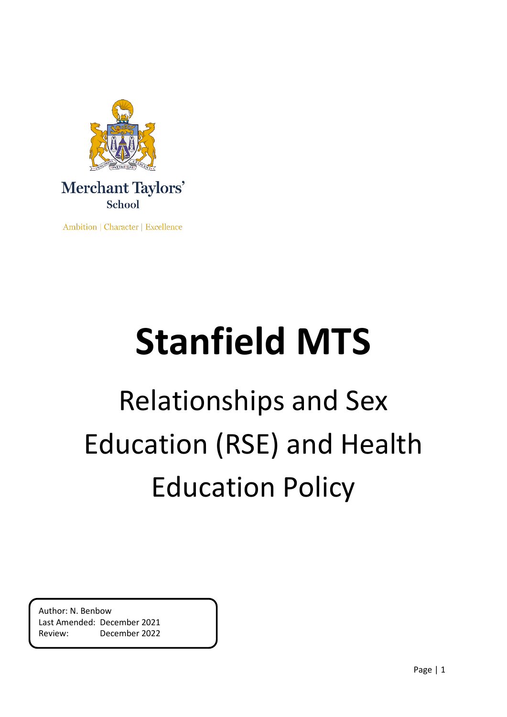

Ambition | Character | Excellence

# **Stanfield MTS**

# Relationships and Sex Education (RSE) and Health Education Policy

Author: N. Benbow Last Amended: December 2021 Review: December 2022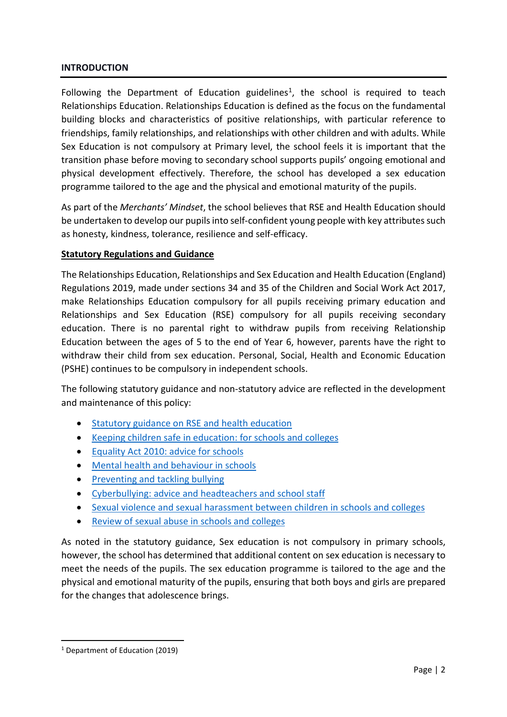#### **INTRODUCTION**

Following the Department of Education guidelines<sup>[1](#page-1-0)</sup>, the school is required to teach Relationships Education. Relationships Education is defined as the focus on the fundamental building blocks and characteristics of positive relationships, with particular reference to friendships, family relationships, and relationships with other children and with adults. While Sex Education is not compulsory at Primary level, the school feels it is important that the transition phase before moving to secondary school supports pupils' ongoing emotional and physical development effectively. Therefore, the school has developed a sex education programme tailored to the age and the physical and emotional maturity of the pupils.

As part of the *Merchants' Mindset*, the school believes that RSE and Health Education should be undertaken to develop our pupils into self-confident young people with key attributes such as honesty, kindness, tolerance, resilience and self-efficacy.

#### **Statutory Regulations and Guidance**

The Relationships Education, Relationships and Sex Education and Health Education (England) Regulations 2019, made under sections 34 and 35 of the Children and Social Work Act 2017, make Relationships Education compulsory for all pupils receiving primary education and Relationships and Sex Education (RSE) compulsory for all pupils receiving secondary education. There is no parental right to withdraw pupils from receiving Relationship Education between the ages of 5 to the end of Year 6, however, parents have the right to withdraw their child from sex education. Personal, Social, Health and Economic Education (PSHE) continues to be compulsory in independent schools.

The following statutory guidance and non-statutory advice are reflected in the development and maintenance of this policy:

- [Statutory guidance on RSE and health education](https://assets.publishing.service.gov.uk/government/uploads/system/uploads/attachment_data/file/908013/Relationships_Education__Relationships_and_Sex_Education__RSE__and_Health_Education.pdf)
- [Keeping children safe in education: for schools and colleges](https://assets.publishing.service.gov.uk/government/uploads/system/uploads/attachment_data/file/912592/Keeping_children_safe_in_education_Sep_2020.pdf)
- [Equality Act 2010: advice for schools](https://assets.publishing.service.gov.uk/government/uploads/system/uploads/attachment_data/file/315587/Equality_Act_Advice_Final.pdf)
- [Mental health and behaviour in schools](https://assets.publishing.service.gov.uk/government/uploads/system/uploads/attachment_data/file/755135/Mental_health_and_behaviour_in_schools__.pdf)
- [Preventing and tackling bullying](https://assets.publishing.service.gov.uk/government/uploads/system/uploads/attachment_data/file/623895/Preventing_and_tackling_bullying_advice.pdf)
- [Cyberbullying: advice and headteachers and school staff](https://assets.publishing.service.gov.uk/government/uploads/system/uploads/attachment_data/file/374850/Cyberbullying_Advice_for_Headteachers_and_School_Staff_121114.pdf)
- [Sexual violence and sexual harassment between children in schools and colleges](https://assets.publishing.service.gov.uk/government/uploads/system/uploads/attachment_data/file/719902/Sexual_violence_and_sexual_harassment_between_children_in_schools_and_colleges.pdf)
- [Review of sexual abuse in schools and colleges](https://www.gov.uk/government/publications/review-of-sexual-abuse-in-schools-and-colleges/review-of-sexual-abuse-in-schools-and-colleges)

As noted in the statutory guidance, Sex education is not compulsory in primary schools, however, the school has determined that additional content on sex education is necessary to meet the needs of the pupils. The sex education programme is tailored to the age and the physical and emotional maturity of the pupils, ensuring that both boys and girls are prepared for the changes that adolescence brings.

<span id="page-1-0"></span> <sup>1</sup> Department of Education (2019)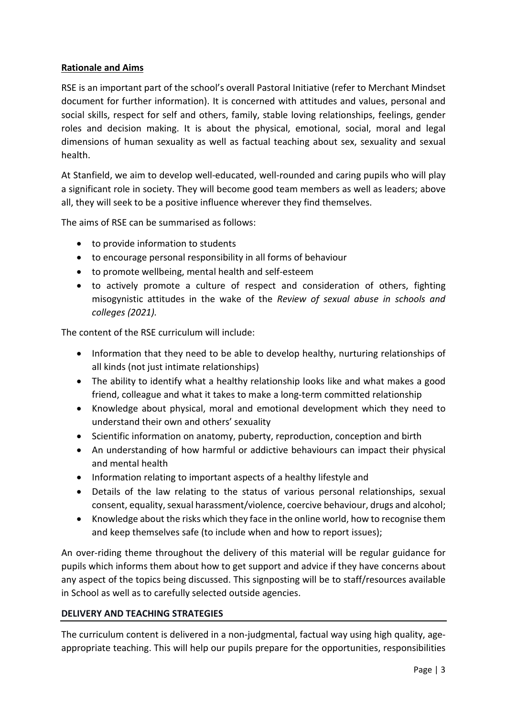#### **Rationale and Aims**

RSE is an important part of the school's overall Pastoral Initiative (refer to Merchant Mindset document for further information). It is concerned with attitudes and values, personal and social skills, respect for self and others, family, stable loving relationships, feelings, gender roles and decision making. It is about the physical, emotional, social, moral and legal dimensions of human sexuality as well as factual teaching about sex, sexuality and sexual health.

At Stanfield, we aim to develop well-educated, well-rounded and caring pupils who will play a significant role in society. They will become good team members as well as leaders; above all, they will seek to be a positive influence wherever they find themselves.

The aims of RSE can be summarised as follows:

- to provide information to students
- to encourage personal responsibility in all forms of behaviour
- to promote wellbeing, mental health and self-esteem
- to actively promote a culture of respect and consideration of others, fighting misogynistic attitudes in the wake of the *Review of sexual abuse in schools and colleges (2021).*

The content of the RSE curriculum will include:

- Information that they need to be able to develop healthy, nurturing relationships of all kinds (not just intimate relationships)
- The ability to identify what a healthy relationship looks like and what makes a good friend, colleague and what it takes to make a long-term committed relationship
- Knowledge about physical, moral and emotional development which they need to understand their own and others' sexuality
- Scientific information on anatomy, puberty, reproduction, conception and birth
- An understanding of how harmful or addictive behaviours can impact their physical and mental health
- Information relating to important aspects of a healthy lifestyle and
- Details of the law relating to the status of various personal relationships, sexual consent, equality, sexual harassment/violence, coercive behaviour, drugs and alcohol;
- Knowledge about the risks which they face in the online world, how to recognise them and keep themselves safe (to include when and how to report issues);

An over-riding theme throughout the delivery of this material will be regular guidance for pupils which informs them about how to get support and advice if they have concerns about any aspect of the topics being discussed. This signposting will be to staff/resources available in School as well as to carefully selected outside agencies.

#### **DELIVERY AND TEACHING STRATEGIES**

The curriculum content is delivered in a non-judgmental, factual way using high quality, ageappropriate teaching. This will help our pupils prepare for the opportunities, responsibilities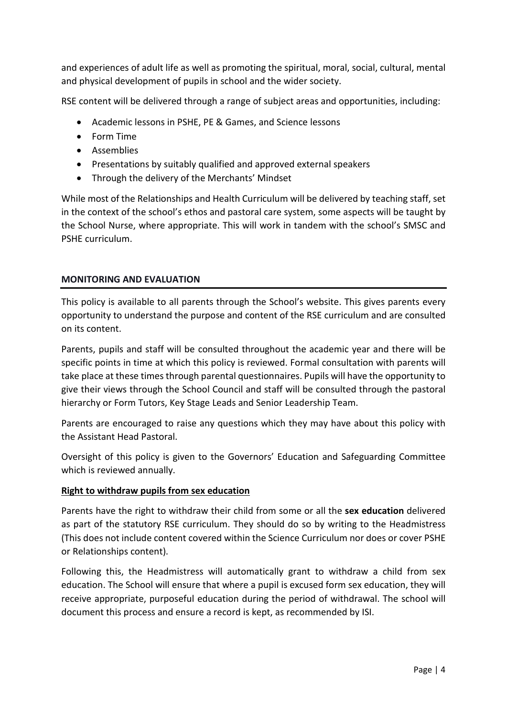and experiences of adult life as well as promoting the spiritual, moral, social, cultural, mental and physical development of pupils in school and the wider society.

RSE content will be delivered through a range of subject areas and opportunities, including:

- Academic lessons in PSHE, PE & Games, and Science lessons
- Form Time
- Assemblies
- Presentations by suitably qualified and approved external speakers
- Through the delivery of the Merchants' Mindset

While most of the Relationships and Health Curriculum will be delivered by teaching staff, set in the context of the school's ethos and pastoral care system, some aspects will be taught by the School Nurse, where appropriate. This will work in tandem with the school's SMSC and PSHE curriculum.

#### **MONITORING AND EVALUATION**

This policy is available to all parents through the School's website. This gives parents every opportunity to understand the purpose and content of the RSE curriculum and are consulted on its content.

Parents, pupils and staff will be consulted throughout the academic year and there will be specific points in time at which this policy is reviewed. Formal consultation with parents will take place at these times through parental questionnaires. Pupils will have the opportunity to give their views through the School Council and staff will be consulted through the pastoral hierarchy or Form Tutors, Key Stage Leads and Senior Leadership Team.

Parents are encouraged to raise any questions which they may have about this policy with the Assistant Head Pastoral.

Oversight of this policy is given to the Governors' Education and Safeguarding Committee which is reviewed annually.

#### **Right to withdraw pupils from sex education**

Parents have the right to withdraw their child from some or all the **sex education** delivered as part of the statutory RSE curriculum. They should do so by writing to the Headmistress (This does not include content covered within the Science Curriculum nor does or cover PSHE or Relationships content).

Following this, the Headmistress will automatically grant to withdraw a child from sex education. The School will ensure that where a pupil is excused form sex education, they will receive appropriate, purposeful education during the period of withdrawal. The school will document this process and ensure a record is kept, as recommended by ISI.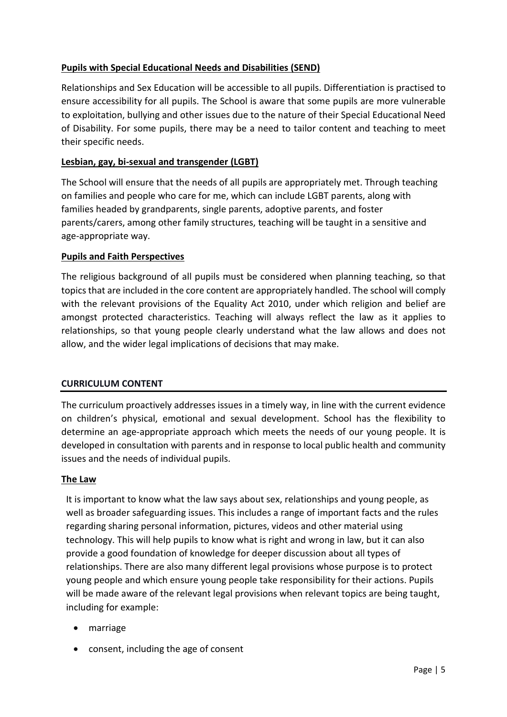## **Pupils with Special Educational Needs and Disabilities (SEND)**

Relationships and Sex Education will be accessible to all pupils. Differentiation is practised to ensure accessibility for all pupils. The School is aware that some pupils are more vulnerable to exploitation, bullying and other issues due to the nature of their Special Educational Need of Disability. For some pupils, there may be a need to tailor content and teaching to meet their specific needs.

#### **Lesbian, gay, bi-sexual and transgender (LGBT)**

The School will ensure that the needs of all pupils are appropriately met. Through teaching on families and people who care for me, which can include LGBT parents, along with families headed by grandparents, single parents, adoptive parents, and foster parents/carers, among other family structures, teaching will be taught in a sensitive and age-appropriate way.

#### **Pupils and Faith Perspectives**

The religious background of all pupils must be considered when planning teaching, so that topics that are included in the core content are appropriately handled. The school will comply with the relevant provisions of the Equality Act 2010, under which religion and belief are amongst protected characteristics. Teaching will always reflect the law as it applies to relationships, so that young people clearly understand what the law allows and does not allow, and the wider legal implications of decisions that may make.

#### **CURRICULUM CONTENT**

The curriculum proactively addresses issues in a timely way, in line with the current evidence on children's physical, emotional and sexual development. School has the flexibility to determine an age-appropriate approach which meets the needs of our young people. It is developed in consultation with parents and in response to local public health and community issues and the needs of individual pupils.

#### **The Law**

It is important to know what the law says about sex, relationships and young people, as well as broader safeguarding issues. This includes a range of important facts and the rules regarding sharing personal information, pictures, videos and other material using technology. This will help pupils to know what is right and wrong in law, but it can also provide a good foundation of knowledge for deeper discussion about all types of relationships. There are also many different legal provisions whose purpose is to protect young people and which ensure young people take responsibility for their actions. Pupils will be made aware of the relevant legal provisions when relevant topics are being taught, including for example:

- marriage
- consent, including the age of consent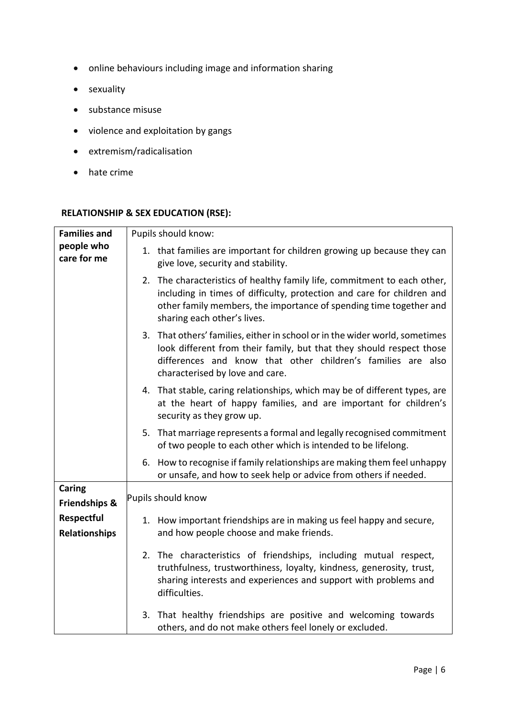- online behaviours including image and information sharing
- sexuality
- substance misuse
- violence and exploitation by gangs
- extremism/radicalisation
- hate crime

#### **RELATIONSHIP & SEX EDUCATION (RSE):**

| <b>Families and</b>       | Pupils should know:                                                                                                                                                                                                                                     |
|---------------------------|---------------------------------------------------------------------------------------------------------------------------------------------------------------------------------------------------------------------------------------------------------|
| people who<br>care for me | 1. that families are important for children growing up because they can<br>give love, security and stability.                                                                                                                                           |
|                           | 2. The characteristics of healthy family life, commitment to each other,<br>including in times of difficulty, protection and care for children and<br>other family members, the importance of spending time together and<br>sharing each other's lives. |
|                           | 3. That others' families, either in school or in the wider world, sometimes<br>look different from their family, but that they should respect those<br>differences and know that other children's families are also<br>characterised by love and care.  |
|                           | 4. That stable, caring relationships, which may be of different types, are<br>at the heart of happy families, and are important for children's<br>security as they grow up.                                                                             |
|                           | 5. That marriage represents a formal and legally recognised commitment<br>of two people to each other which is intended to be lifelong.                                                                                                                 |
|                           | 6. How to recognise if family relationships are making them feel unhappy<br>or unsafe, and how to seek help or advice from others if needed.                                                                                                            |
| Caring                    |                                                                                                                                                                                                                                                         |
| <b>Friendships &amp;</b>  | Pupils should know                                                                                                                                                                                                                                      |
| Respectful                | 1. How important friendships are in making us feel happy and secure,                                                                                                                                                                                    |
| <b>Relationships</b>      | and how people choose and make friends.                                                                                                                                                                                                                 |
|                           | 2. The characteristics of friendships, including mutual respect,<br>truthfulness, trustworthiness, loyalty, kindness, generosity, trust,<br>sharing interests and experiences and support with problems and<br>difficulties.                            |
|                           | 3. That healthy friendships are positive and welcoming towards<br>others, and do not make others feel lonely or excluded.                                                                                                                               |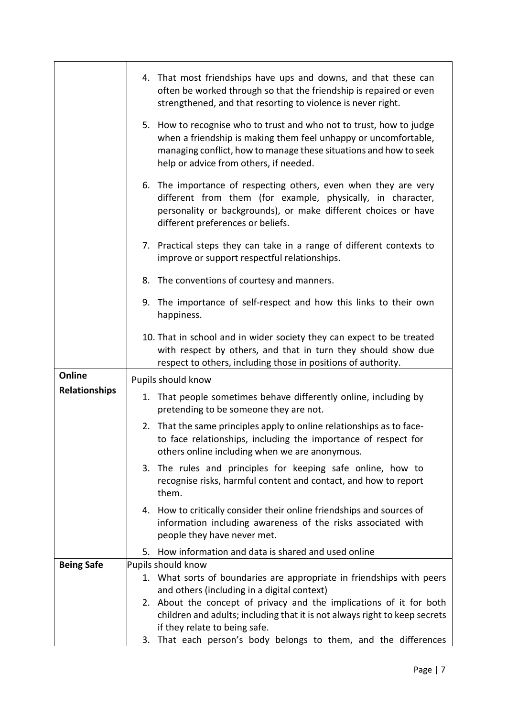|                      | 4. That most friendships have ups and downs, and that these can<br>often be worked through so that the friendship is repaired or even<br>strengthened, and that resorting to violence is never right.                                                 |
|----------------------|-------------------------------------------------------------------------------------------------------------------------------------------------------------------------------------------------------------------------------------------------------|
|                      | 5. How to recognise who to trust and who not to trust, how to judge<br>when a friendship is making them feel unhappy or uncomfortable,<br>managing conflict, how to manage these situations and how to seek<br>help or advice from others, if needed. |
|                      | 6. The importance of respecting others, even when they are very<br>different from them (for example, physically, in character,<br>personality or backgrounds), or make different choices or have<br>different preferences or beliefs.                 |
|                      | 7. Practical steps they can take in a range of different contexts to<br>improve or support respectful relationships.                                                                                                                                  |
|                      | 8. The conventions of courtesy and manners.                                                                                                                                                                                                           |
|                      | 9. The importance of self-respect and how this links to their own<br>happiness.                                                                                                                                                                       |
|                      | 10. That in school and in wider society they can expect to be treated<br>with respect by others, and that in turn they should show due<br>respect to others, including those in positions of authority.                                               |
| Online               | Pupils should know                                                                                                                                                                                                                                    |
| <b>Relationships</b> | 1. That people sometimes behave differently online, including by<br>pretending to be someone they are not.                                                                                                                                            |
|                      | 2. That the same principles apply to online relationships as to face-<br>to face relationships, including the importance of respect for<br>others online including when we are anonymous.                                                             |
|                      | 3. The rules and principles for keeping safe online, how to<br>recognise risks, harmful content and contact, and how to report<br>them.                                                                                                               |
|                      | 4. How to critically consider their online friendships and sources of<br>information including awareness of the risks associated with<br>people they have never met.                                                                                  |
|                      | 5. How information and data is shared and used online                                                                                                                                                                                                 |
| <b>Being Safe</b>    | Pupils should know                                                                                                                                                                                                                                    |
|                      | 1. What sorts of boundaries are appropriate in friendships with peers<br>and others (including in a digital context)                                                                                                                                  |
|                      | 2. About the concept of privacy and the implications of it for both                                                                                                                                                                                   |
|                      | children and adults; including that it is not always right to keep secrets                                                                                                                                                                            |
|                      | if they relate to being safe.                                                                                                                                                                                                                         |
|                      | 3. That each person's body belongs to them, and the differences                                                                                                                                                                                       |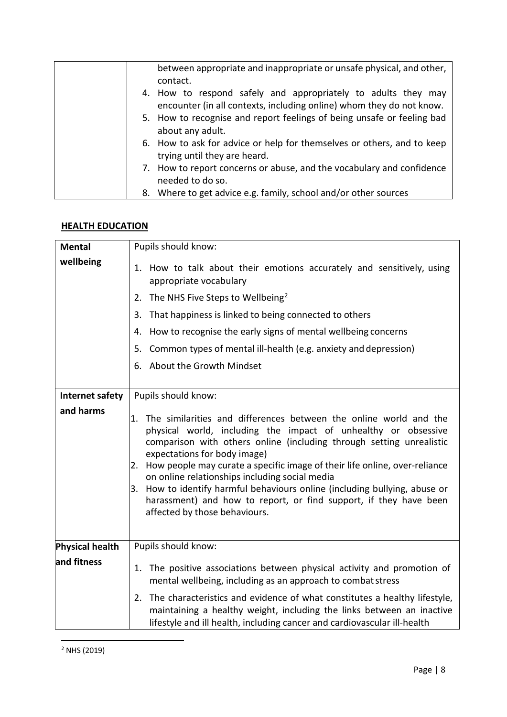| between appropriate and inappropriate or unsafe physical, and other,<br>contact.                                                      |
|---------------------------------------------------------------------------------------------------------------------------------------|
| 4. How to respond safely and appropriately to adults they may<br>encounter (in all contexts, including online) whom they do not know. |
| 5. How to recognise and report feelings of being unsafe or feeling bad<br>about any adult.                                            |
| 6. How to ask for advice or help for themselves or others, and to keep<br>trying until they are heard.                                |
| 7. How to report concerns or abuse, and the vocabulary and confidence<br>needed to do so.                                             |
| 8. Where to get advice e.g. family, school and/or other sources                                                                       |

#### **HEALTH EDUCATION**

<span id="page-7-0"></span>

| <b>Mental</b>   | Pupils should know:                                                                                                                                                                                                                                                                                                                                                                                                                                                                                                                                                      |
|-----------------|--------------------------------------------------------------------------------------------------------------------------------------------------------------------------------------------------------------------------------------------------------------------------------------------------------------------------------------------------------------------------------------------------------------------------------------------------------------------------------------------------------------------------------------------------------------------------|
| wellbeing       | 1. How to talk about their emotions accurately and sensitively, using<br>appropriate vocabulary                                                                                                                                                                                                                                                                                                                                                                                                                                                                          |
|                 | 2. The NHS Five Steps to Wellbeing <sup>2</sup>                                                                                                                                                                                                                                                                                                                                                                                                                                                                                                                          |
|                 | That happiness is linked to being connected to others<br>3.                                                                                                                                                                                                                                                                                                                                                                                                                                                                                                              |
|                 | How to recognise the early signs of mental wellbeing concerns<br>4.                                                                                                                                                                                                                                                                                                                                                                                                                                                                                                      |
|                 | Common types of mental ill-health (e.g. anxiety and depression)<br>5.                                                                                                                                                                                                                                                                                                                                                                                                                                                                                                    |
|                 | 6. About the Growth Mindset                                                                                                                                                                                                                                                                                                                                                                                                                                                                                                                                              |
|                 |                                                                                                                                                                                                                                                                                                                                                                                                                                                                                                                                                                          |
| Internet safety | Pupils should know:                                                                                                                                                                                                                                                                                                                                                                                                                                                                                                                                                      |
| and harms       | 1. The similarities and differences between the online world and the<br>physical world, including the impact of unhealthy or obsessive<br>comparison with others online (including through setting unrealistic<br>expectations for body image)<br>How people may curate a specific image of their life online, over-reliance<br>2.<br>on online relationships including social media<br>3. How to identify harmful behaviours online (including bullying, abuse or<br>harassment) and how to report, or find support, if they have been<br>affected by those behaviours. |
| Physical health | Pupils should know:                                                                                                                                                                                                                                                                                                                                                                                                                                                                                                                                                      |
| and fitness     | The positive associations between physical activity and promotion of<br>1.<br>mental wellbeing, including as an approach to combat stress                                                                                                                                                                                                                                                                                                                                                                                                                                |
|                 | The characteristics and evidence of what constitutes a healthy lifestyle,<br>2.<br>maintaining a healthy weight, including the links between an inactive<br>lifestyle and ill health, including cancer and cardiovascular ill-health                                                                                                                                                                                                                                                                                                                                     |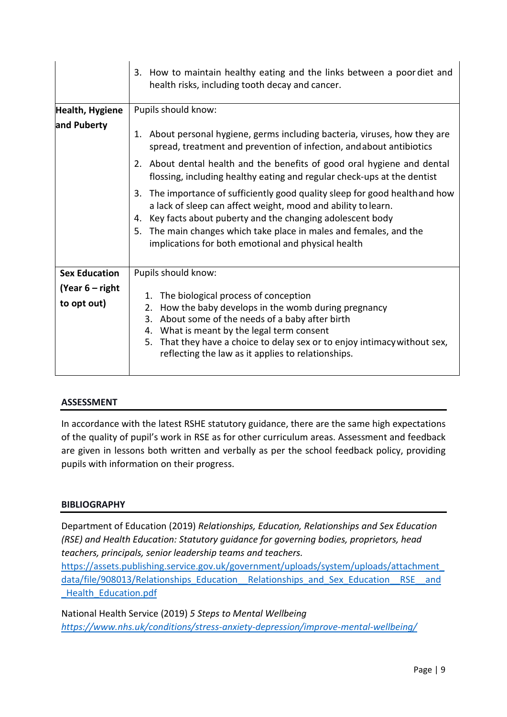|                                  | 3. How to maintain healthy eating and the links between a poor diet and<br>health risks, including tooth decay and cancer.                                                                                                                                                                                                                  |
|----------------------------------|---------------------------------------------------------------------------------------------------------------------------------------------------------------------------------------------------------------------------------------------------------------------------------------------------------------------------------------------|
| Health, Hygiene                  | Pupils should know:                                                                                                                                                                                                                                                                                                                         |
| and Puberty                      | 1. About personal hygiene, germs including bacteria, viruses, how they are<br>spread, treatment and prevention of infection, and about antibiotics                                                                                                                                                                                          |
|                                  | 2. About dental health and the benefits of good oral hygiene and dental<br>flossing, including healthy eating and regular check-ups at the dentist                                                                                                                                                                                          |
|                                  | 3. The importance of sufficiently good quality sleep for good healthand how<br>a lack of sleep can affect weight, mood and ability to learn.<br>4. Key facts about puberty and the changing adolescent body<br>The main changes which take place in males and females, and the<br>5.<br>implications for both emotional and physical health |
| <b>Sex Education</b>             | Pupils should know:                                                                                                                                                                                                                                                                                                                         |
| (Year $6$ – right<br>to opt out) | 1. The biological process of conception<br>2. How the baby develops in the womb during pregnancy<br>3. About some of the needs of a baby after birth<br>4. What is meant by the legal term consent<br>That they have a choice to delay sex or to enjoy intimacy without sex,<br>5.<br>reflecting the law as it applies to relationships.    |

#### **ASSESSMENT**

In accordance with the latest RSHE statutory guidance, there are the same high expectations of the quality of pupil's work in RSE as for other curriculum areas. Assessment and feedback are given in lessons both written and verbally as per the school feedback policy, providing pupils with information on their progress.

#### **BIBLIOGRAPHY**

Department of Education (2019) *Relationships, Education, Relationships and Sex Education (RSE) and Health Education: Statutory guidance for governing bodies, proprietors, head teachers, principals, senior leadership teams and teachers.* 

[https://assets.publishing.service.gov.uk/government/uploads/system/uploads/attachment\\_](https://assets.publishing.service.gov.uk/government/uploads/system/uploads/attachment_data/file/908013/Relationships_Education__Relationships_and_Sex_Education__RSE__and_Health_Education.pdf) [data/file/908013/Relationships\\_Education\\_\\_Relationships\\_and\\_Sex\\_Education\\_\\_RSE\\_\\_and](https://assets.publishing.service.gov.uk/government/uploads/system/uploads/attachment_data/file/908013/Relationships_Education__Relationships_and_Sex_Education__RSE__and_Health_Education.pdf) [\\_Health\\_Education.pdf](https://assets.publishing.service.gov.uk/government/uploads/system/uploads/attachment_data/file/908013/Relationships_Education__Relationships_and_Sex_Education__RSE__and_Health_Education.pdf)

National Health Service (2019) *5 Steps to Mental Wellbeing <https://www.nhs.uk/conditions/stress-anxiety-depression/improve-mental-wellbeing/>*